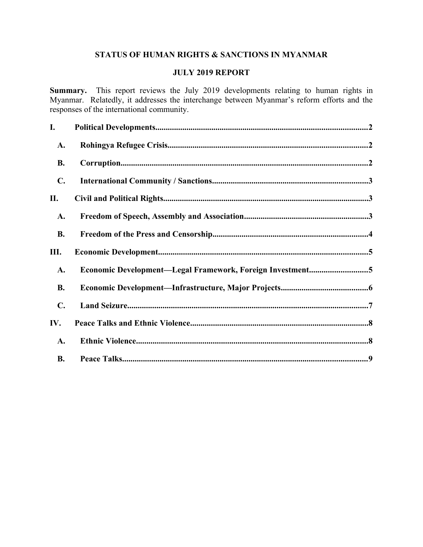# **STATUS OF HUMAN RIGHTS & SANCTIONS IN MYANMAR**

## **JULY 2019 REPORT**

**Summary.** This report reviews the July 2019 developments relating to human rights in Myanmar. Relatedly, it addresses the interchange between Myanmar's reform efforts and the responses of the international community.

| I.             |                                                           |
|----------------|-----------------------------------------------------------|
| A.             |                                                           |
| <b>B.</b>      |                                                           |
| $\mathbf{C}$ . |                                                           |
| П.             |                                                           |
| A.             |                                                           |
| <b>B.</b>      |                                                           |
| Ш.             |                                                           |
| A.             | Economic Development-Legal Framework, Foreign Investment5 |
| <b>B.</b>      |                                                           |
| $\mathbf{C}$ . |                                                           |
| IV.            |                                                           |
| A.             |                                                           |
| <b>B.</b>      |                                                           |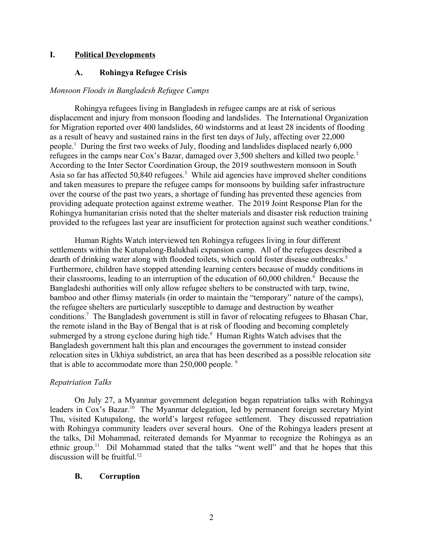## **I. Political Developments**

## <span id="page-1-2"></span><span id="page-1-0"></span>**A. Rohingya Refugee Crisis**

### *Monsoon Floods in Bangladesh Refugee Camps*

Rohingya refugees living in Bangladesh in refugee camps are at risk of serious displacement and injury from monsoon flooding and landslides. The International Organization for Migration reported over 400 landslides, 60 windstorms and at least 28 incidents of flooding as a result of heavy and sustained rains in the first ten days of July, affecting over 22,000 people.<sup>1</sup> During the first two weeks of July, flooding and landslides displaced nearly 6,000 refugees in the camps near Cox's Bazar, damaged over 3,500 shelters and killed two people.<sup>2</sup> According to the Inter Sector Coordination Group, the 2019 southwestern monsoon in South Asia so far has affected 50,840 refugees.<sup>3</sup> While aid agencies have improved shelter conditions and taken measures to prepare the refugee camps for monsoons by building safer infrastructure over the course of the past two years, a shortage of funding has prevented these agencies from providing adequate protection against extreme weather. The 2019 Joint Response Plan for the Rohingya humanitarian crisis noted that the shelter materials and disaster risk reduction training provided to the refugees last year are insufficient for protection against such weather conditions.<sup>4</sup>

Human Rights Watch interviewed ten Rohingya refugees living in four different settlements within the Kutupalong-Balukhali expansion camp. All of the refugees described a dearth of drinking water along with flooded toilets, which could foster disease outbreaks.<sup>5</sup> Furthermore, children have stopped attending learning centers because of muddy conditions in their classrooms, leading to an interruption of the education of 60,000 children.<sup>6</sup> Because the Bangladeshi authorities will only allow refugee shelters to be constructed with tarp, twine, bamboo and other flimsy materials (in order to maintain the "temporary" nature of the camps), the refugee shelters are particularly susceptible to damage and destruction by weather conditions.<sup>7</sup> The Bangladesh government is still in favor of relocating refugees to Bhasan Char, the remote island in the Bay of Bengal that is at risk of flooding and becoming completely submerged by a strong cyclone during high tide. $8$  Human Rights Watch advises that the Bangladesh government halt this plan and encourages the government to instead consider relocation sites in Ukhiya subdistrict, an area that has been described as a possible relocation site that is able to accommodate more than  $250,000$  people.  $9$ 

### *Repatriation Talks*

On July 27, a Myanmar government delegation began repatriation talks with Rohingya leaders in Cox's Bazar.<sup>10</sup> The Myanmar delegation, led by permanent foreign secretary Myint Thu, visited Kutupalong, the world's largest refugee settlement. They discussed repatriation with Rohingya community leaders over several hours. One of the Rohingya leaders present at the talks, Dil Mohammad, reiterated demands for Myanmar to recognize the Rohingya as an ethnic group.<sup>11</sup> Dil Mohammad stated that the talks "went well" and that he hopes that this discussion will be fruitful.<sup>12</sup>

## <span id="page-1-1"></span>**B. Corruption**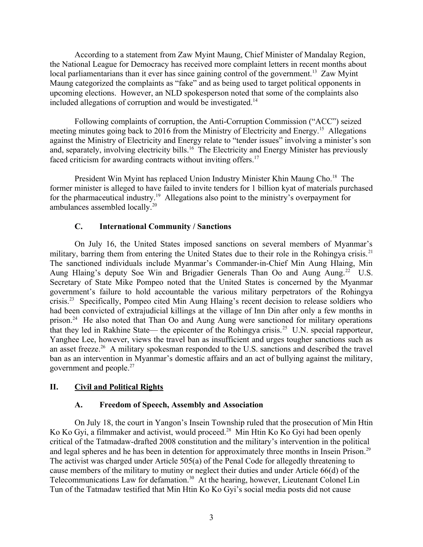According to a statement from Zaw Myint Maung, Chief Minister of Mandalay Region, the National League for Democracy has received more complaint letters in recent months about local parliamentarians than it ever has since gaining control of the government.<sup>13</sup> Zaw Myint Maung categorized the complaints as "fake" and as being used to target political opponents in upcoming elections. However, an NLD spokesperson noted that some of the complaints also included allegations of corruption and would be investigated.<sup>14</sup>

Following complaints of corruption, the Anti-Corruption Commission ("ACC") seized meeting minutes going back to 2016 from the Ministry of Electricity and Energy.<sup>15</sup> Allegations against the Ministry of Electricity and Energy relate to "tender issues" involving a minister's son and, separately, involving electricity bills.<sup>16</sup> The Electricity and Energy Minister has previously faced criticism for awarding contracts without inviting offers.<sup>17</sup>

President Win Myint has replaced Union Industry Minister Khin Maung Cho.<sup>18</sup> The former minister is alleged to have failed to invite tenders for 1 billion kyat of materials purchased for the pharmaceutical industry.<sup>19</sup> Allegations also point to the ministry's overpayment for ambulances assembled locally.<sup>20</sup>

## <span id="page-2-2"></span>**C. International Community / Sanctions**

On July 16, the United States imposed sanctions on several members of Myanmar's military, barring them from entering the United States due to their role in the Rohingya crisis.<sup>21</sup> The sanctioned individuals include Myanmar's Commander-in-Chief Min Aung Hlaing, Min Aung Hlaing's deputy Soe Win and Brigadier Generals Than Oo and Aung Aung.<sup>22</sup> U.S. Secretary of State Mike Pompeo noted that the United States is concerned by the Myanmar government's failure to hold accountable the various military perpetrators of the Rohingya crisis.<sup>23</sup> Specifically, Pompeo cited Min Aung Hlaing's recent decision to release soldiers who had been convicted of extrajudicial killings at the village of Inn Din after only a few months in prison.<sup>24</sup> He also noted that Than Oo and Aung Aung were sanctioned for military operations that they led in Rakhine State— the epicenter of the Rohingya crisis.<sup>25</sup> U.N. special rapporteur, Yanghee Lee, however, views the travel ban as insufficient and urges tougher sanctions such as an asset freeze.<sup>26</sup> A military spokesman responded to the U.S. sanctions and described the travel ban as an intervention in Myanmar's domestic affairs and an act of bullying against the military, government and people.<sup>27</sup>

### **II. Civil and Political Rights**

### <span id="page-2-1"></span><span id="page-2-0"></span>**A. Freedom of Speech, Assembly and Association**

On July 18, the court in Yangon's Insein Township ruled that the prosecution of Min Htin Ko Ko Gyi, a filmmaker and activist, would proceed.<sup>28</sup> Min Htin Ko Ko Gyi had been openly critical of the Tatmadaw-drafted 2008 constitution and the military's intervention in the political and legal spheres and he has been in detention for approximately three months in Insein Prison.<sup>29</sup> The activist was charged under Article 505(a) of the Penal Code for allegedly threatening to cause members of the military to mutiny or neglect their duties and under Article 66(d) of the Telecommunications Law for defamation.<sup>30</sup> At the hearing, however, Lieutenant Colonel Lin Tun of the Tatmadaw testified that Min Htin Ko Ko Gyi's social media posts did not cause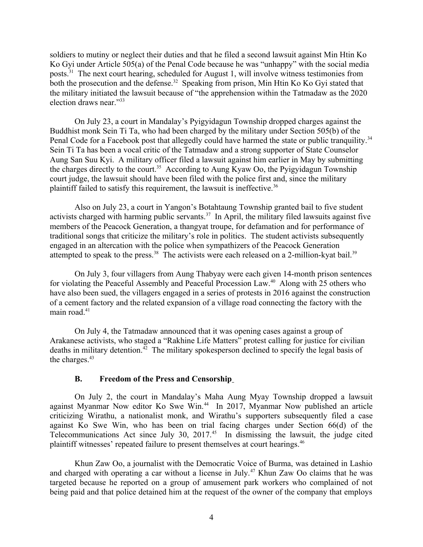soldiers to mutiny or neglect their duties and that he filed a second lawsuit against Min Htin Ko Ko Gyi under Article 505(a) of the Penal Code because he was "unhappy" with the social media posts.<sup>31</sup> The next court hearing, scheduled for August 1, will involve witness testimonies from both the prosecution and the defense.<sup>32</sup> Speaking from prison, Min Htin Ko Ko Gyi stated that the military initiated the lawsuit because of "the apprehension within the Tatmadaw as the 2020 election draws near."<sup>33</sup>

On July 23, a court in Mandalay's Pyigyidagun Township dropped charges against the Buddhist monk Sein Ti Ta, who had been charged by the military under Section 505(b) of the Penal Code for a Facebook post that allegedly could have harmed the state or public tranquility.<sup>34</sup> Sein Ti Ta has been a vocal critic of the Tatmadaw and a strong supporter of State Counselor Aung San Suu Kyi. A military officer filed a lawsuit against him earlier in May by submitting the charges directly to the court.<sup>35</sup> According to Aung Kyaw Oo, the Pyigyidagun Township court judge, the lawsuit should have been filed with the police first and, since the military plaintiff failed to satisfy this requirement, the lawsuit is ineffective.<sup>36</sup>

Also on July 23, a court in Yangon's Botahtaung Township granted bail to five student activists charged with harming public servants.<sup>37</sup> In April, the military filed lawsuits against five members of the Peacock Generation, a thangyat troupe, for defamation and for performance of traditional songs that criticize the military's role in politics. The student activists subsequently engaged in an altercation with the police when sympathizers of the Peacock Generation attempted to speak to the press.<sup>38</sup> The activists were each released on a 2-million-kyat bail.<sup>39</sup>

On July 3, four villagers from Aung Thabyay were each given 14-month prison sentences for violating the Peaceful Assembly and Peaceful Procession Law.<sup>40</sup> Along with 25 others who have also been sued, the villagers engaged in a series of protests in 2016 against the construction of a cement factory and the related expansion of a village road connecting the factory with the main road.<sup>41</sup>

On July 4, the Tatmadaw announced that it was opening cases against a group of Arakanese activists, who staged a "Rakhine Life Matters" protest calling for justice for civilian deaths in military detention.<sup>42</sup> The military spokesperson declined to specify the legal basis of the charges.<sup>43</sup>

#### <span id="page-3-0"></span>**B. Freedom of the Press and Censorship**

On July 2, the court in Mandalay's Maha Aung Myay Township dropped a lawsuit against Myanmar Now editor Ko Swe Win.<sup>44</sup> In 2017, Myanmar Now published an article criticizing Wirathu, a nationalist monk, and Wirathu's supporters subsequently filed a case against Ko Swe Win, who has been on trial facing charges under Section 66(d) of the Telecommunications Act since July 30,  $2017<sup>45</sup>$  In dismissing the lawsuit, the judge cited plaintiff witnesses' repeated failure to present themselves at court hearings.<sup>46</sup>

Khun Zaw Oo, a journalist with the Democratic Voice of Burma, was detained in Lashio and charged with operating a car without a license in July.<sup>47</sup> Khun Zaw Oo claims that he was targeted because he reported on a group of amusement park workers who complained of not being paid and that police detained him at the request of the owner of the company that employs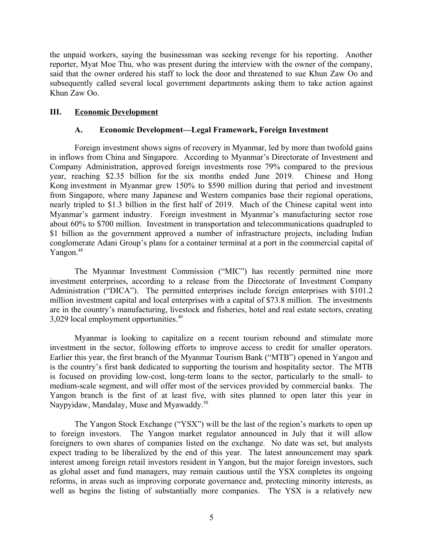the unpaid workers, saying the businessman was seeking revenge for his reporting. Another reporter, Myat Moe Thu, who was present during the interview with the owner of the company, said that the owner ordered his staff to lock the door and threatened to sue Khun Zaw Oo and subsequently called several local government departments asking them to take action against Khun Zaw Oo.

#### **III. Economic Development**

#### <span id="page-4-1"></span><span id="page-4-0"></span>**A. Economic Development—Legal Framework, Foreign Investment**

Foreign investment shows signs of recovery in Myanmar, led by more than twofold gains in inflows from China and Singapore. According to Myanmar's Directorate of Investment and Company Administration, approved foreign investments rose 79% compared to the previous year, reaching \$2.35 billion for the six months ended June 2019. Chinese and Hong Kong investment in Myanmar grew 150% to \$590 million during that period and investment from Singapore, where many Japanese and Western companies base their regional operations, nearly tripled to \$1.3 billion in the first half of 2019. Much of the Chinese capital went into Myanmar's garment industry. Foreign investment in Myanmar's manufacturing sector rose about 60% to \$700 million. Investment in transportation and telecommunications quadrupled to \$1 billion as the government approved a number of infrastructure projects, including Indian conglomerate Adani Group's plans for a container terminal at a port in the commercial capital of Yangon.<sup>48</sup>

The Myanmar Investment Commission ("MIC") has recently permitted nine more investment enterprises, according to a release from the Directorate of Investment Company Administration ("DICA"). The permitted enterprises include foreign enterprises with \$101.2 million investment capital and local enterprises with a capital of \$73.8 million. The investments are in the country's manufacturing, livestock and fisheries, hotel and real estate sectors, creating 3,029 local employment opportunities.<sup>49</sup>

Myanmar is looking to capitalize on a recent tourism rebound and stimulate more investment in the sector, following efforts to improve access to credit for smaller operators. Earlier this year, the first branch of the Myanmar Tourism Bank ("MTB") opened in Yangon and is the country's first bank dedicated to supporting the tourism and hospitality sector. The MTB is focused on providing low-cost, long-term loans to the sector, particularly to the small- to medium-scale segment, and will offer most of the services provided by commercial banks. The Yangon branch is the first of at least five, with sites planned to open later this year in Naypyidaw, Mandalay, Muse and Myawaddy.<sup>50</sup>

The Yangon Stock Exchange ("YSX") will be the last of the region's markets to open up to foreign investors. The Yangon market regulator announced in July that it will allow foreigners to own shares of companies listed on the exchange. No date was set, but analysts expect trading to be liberalized by the end of this year. The latest announcement may spark interest among foreign retail investors resident in Yangon, but the major foreign investors, such as global asset and fund managers, may remain cautious until the YSX completes its ongoing reforms, in areas such as improving corporate governance and, protecting minority interests, as well as begins the listing of substantially more companies. The YSX is a relatively new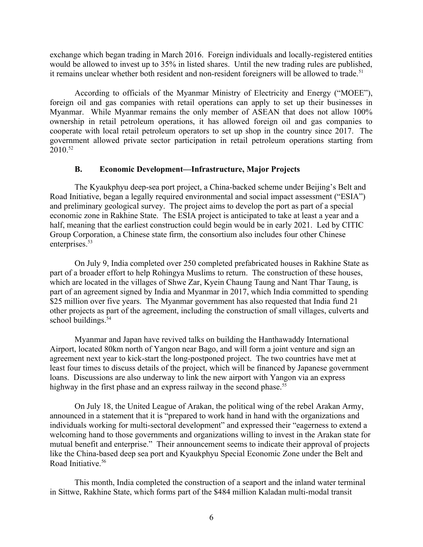exchange which began trading in March 2016. Foreign individuals and locally-registered entities would be allowed to invest up to 35% in listed shares. Until the new trading rules are published, it remains unclear whether both resident and non-resident foreigners will be allowed to trade.<sup>51</sup>

According to officials of the Myanmar Ministry of Electricity and Energy ("MOEE"), foreign oil and gas companies with retail operations can apply to set up their businesses in Myanmar. While Myanmar remains the only member of ASEAN that does not allow 100% ownership in retail petroleum operations, it has allowed foreign oil and gas companies to cooperate with local retail petroleum operators to set up shop in the country since 2017. The government allowed private sector participation in retail petroleum operations starting from  $2010^{52}$ 

#### <span id="page-5-0"></span>**B. Economic Development—Infrastructure, Major Projects**

The Kyaukphyu deep-sea port project, a China-backed scheme under Beijing's Belt and Road Initiative, began a legally required environmental and social impact assessment ("ESIA") and preliminary geological survey. The project aims to develop the port as part of a special economic zone in Rakhine State. The ESIA project is anticipated to take at least a year and a half, meaning that the earliest construction could begin would be in early 2021. Led by CITIC Group Corporation, a Chinese state firm, the consortium also includes four other Chinese enterprises.<sup>53</sup>

On July 9, India completed over 250 completed prefabricated houses in Rakhine State as part of a broader effort to help Rohingya Muslims to return. The construction of these houses, which are located in the villages of Shwe Zar, Kyein Chaung Taung and Nant Thar Taung, is part of an agreement signed by India and Myanmar in 2017, which India committed to spending \$25 million over five years. The Myanmar government has also requested that India fund 21 other projects as part of the agreement, including the construction of small villages, culverts and school buildings.<sup>54</sup>

Myanmar and Japan have revived talks on building the Hanthawaddy International Airport, located 80km north of Yangon near Bago, and will form a joint venture and sign an agreement next year to kick-start the long-postponed project. The two countries have met at least four times to discuss details of the project, which will be financed by Japanese government loans. Discussions are also underway to link the new airport with Yangon via an express highway in the first phase and an express railway in the second phase.<sup>55</sup>

On July 18, the United League of Arakan, the political wing of the rebel Arakan Army, announced in a statement that it is "prepared to work hand in hand with the organizations and individuals working for multi-sectoral development" and expressed their "eagerness to extend a welcoming hand to those governments and organizations willing to invest in the Arakan state for mutual benefit and enterprise." Their announcement seems to indicate their approval of projects like the China-based deep sea port and Kyaukphyu Special Economic Zone under the Belt and Road Initiative.<sup>56</sup>

This month, India completed the construction of a seaport and the inland water terminal in Sittwe, Rakhine State, which forms part of the \$484 million Kaladan multi-modal transit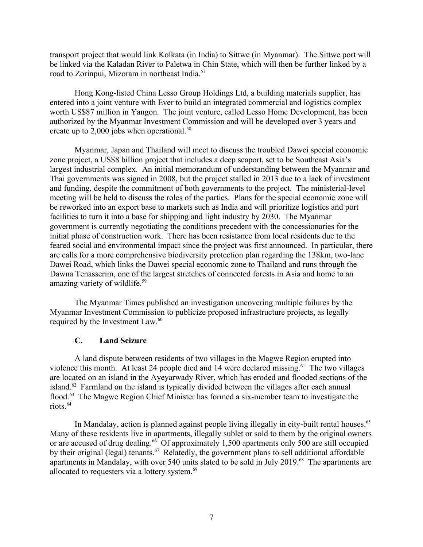transport project that would link Kolkata (in India) to Sittwe (in Myanmar). The Sittwe port will be linked via the Kaladan River to Paletwa in Chin State, which will then be further linked by a road to Zorinpui, Mizoram in northeast India.<sup>57</sup>

Hong Kong-listed China Lesso Group Holdings Ltd, a building materials supplier, has entered into a joint venture with Ever to build an integrated commercial and logistics complex worth US\$87 million in Yangon. The joint venture, called Lesso Home Development, has been authorized by the Myanmar Investment Commission and will be developed over 3 years and create up to  $2,000$  jobs when operational.<sup>58</sup>

Myanmar, Japan and Thailand will meet to discuss the troubled Dawei special economic zone project, a US\$8 billion project that includes a deep seaport, set to be Southeast Asia's largest industrial complex. An initial memorandum of understanding between the Myanmar and Thai governments was signed in 2008, but the project stalled in 2013 due to a lack of investment and funding, despite the commitment of both governments to the project. The ministerial-level meeting will be held to discuss the roles of the parties. Plans for the special economic zone will be reworked into an export base to markets such as India and will prioritize logistics and port facilities to turn it into a base for shipping and light industry by 2030. The Myanmar government is currently negotiating the conditions precedent with the concessionaries for the initial phase of construction work. There has been resistance from local residents due to the feared social and environmental impact since the project was first announced. In particular, there are calls for a more comprehensive biodiversity protection plan regarding the 138km, two-lane Dawei Road, which links the Dawei special economic zone to Thailand and runs through the Dawna Tenasserim, one of the largest stretches of connected forests in Asia and home to an amazing variety of wildlife.<sup>59</sup>

The Myanmar Times published an investigation uncovering multiple failures by the Myanmar Investment Commission to publicize proposed infrastructure projects, as legally required by the Investment Law.<sup>60</sup>

#### <span id="page-6-0"></span>**C. Land Seizure**

A land dispute between residents of two villages in the Magwe Region erupted into violence this month. At least 24 people died and 14 were declared missing.<sup>61</sup> The two villages are located on an island in the Ayeyarwady River, which has eroded and flooded sections of the island.<sup>62</sup> Farmland on the island is typically divided between the villages after each annual flood.<sup>63</sup> The Magwe Region Chief Minister has formed a six-member team to investigate the riots.<sup>64</sup>

In Mandalay, action is planned against people living illegally in city-built rental houses.<sup>65</sup> Many of these residents live in apartments, illegally sublet or sold to them by the original owners or are accused of drug dealing.<sup>66</sup> Of approximately 1,500 apartments only 500 are still occupied by their original (legal) tenants.<sup>67</sup> Relatedly, the government plans to sell additional affordable apartments in Mandalay, with over 540 units slated to be sold in July 2019.<sup>68</sup> The apartments are allocated to requesters via a lottery system.<sup>69</sup>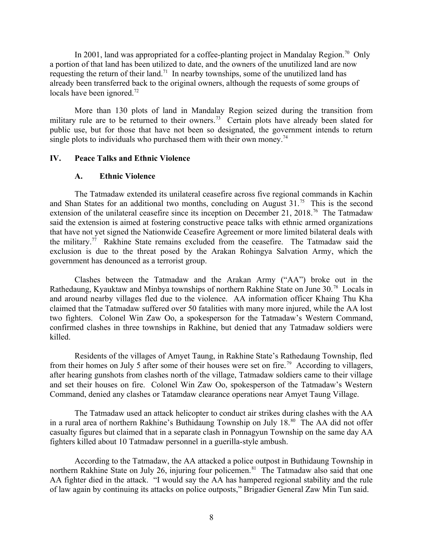In 2001, land was appropriated for a coffee-planting project in Mandalay Region.<sup>70</sup> Only a portion of that land has been utilized to date, and the owners of the unutilized land are now requesting the return of their land.<sup>71</sup> In nearby townships, some of the unutilized land has already been transferred back to the original owners, although the requests of some groups of locals have been ignored.<sup>72</sup>

More than 130 plots of land in Mandalay Region seized during the transition from military rule are to be returned to their owners.<sup>73</sup> Certain plots have already been slated for public use, but for those that have not been so designated, the government intends to return single plots to individuals who purchased them with their own money.<sup>74</sup>

#### **IV. Peace Talks and Ethnic Violence**

#### <span id="page-7-1"></span><span id="page-7-0"></span>**A. Ethnic Violence**

The Tatmadaw extended its unilateral ceasefire across five regional commands in Kachin and Shan States for an additional two months, concluding on August  $31<sup>75</sup>$  This is the second extension of the unilateral ceasefire since its inception on December 21, 2018.<sup>76</sup> The Tatmadaw said the extension is aimed at fostering constructive peace talks with ethnic armed organizations that have not yet signed the Nationwide Ceasefire Agreement or more limited bilateral deals with the military.<sup>77</sup> Rakhine State remains excluded from the ceasefire. The Tatmadaw said the exclusion is due to the threat posed by the Arakan Rohingya Salvation Army, which the government has denounced as a terrorist group.

Clashes between the Tatmadaw and the Arakan Army ("AA") broke out in the Rathedaung, Kyauktaw and Minbya townships of northern Rakhine State on June 30.<sup>78</sup> Locals in and around nearby villages fled due to the violence. AA information officer Khaing Thu Kha claimed that the Tatmadaw suffered over 50 fatalities with many more injured, while the AA lost two fighters. Colonel Win Zaw Oo, a spokesperson for the Tatmadaw's Western Command, confirmed clashes in three townships in Rakhine, but denied that any Tatmadaw soldiers were killed.

Residents of the villages of Amyet Taung, in Rakhine State's Rathedaung Township, fled from their homes on July 5 after some of their houses were set on fire.<sup>79</sup> According to villagers, after hearing gunshots from clashes north of the village, Tatmadaw soldiers came to their village and set their houses on fire. Colonel Win Zaw Oo, spokesperson of the Tatmadaw's Western Command, denied any clashes or Tatamdaw clearance operations near Amyet Taung Village.

The Tatmadaw used an attack helicopter to conduct air strikes during clashes with the AA in a rural area of northern Rakhine's Buthidaung Township on July 18.<sup>80</sup> The AA did not offer casualty figures but claimed that in a separate clash in Ponnagyun Township on the same day AA fighters killed about 10 Tatmadaw personnel in a guerilla-style ambush.

According to the Tatmadaw, the AA attacked a police outpost in Buthidaung Township in northern Rakhine State on July 26, injuring four policemen.<sup>81</sup> The Tatmadaw also said that one AA fighter died in the attack. "I would say the AA has hampered regional stability and the rule of law again by continuing its attacks on police outposts," Brigadier General Zaw Min Tun said.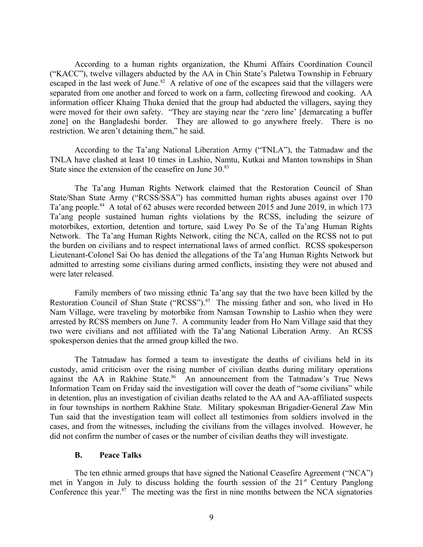According to a human rights organization, the Khumi Affairs Coordination Council ("KACC"), twelve villagers abducted by the AA in Chin State's Paletwa Township in February escaped in the last week of June.<sup>82</sup> A relative of one of the escapees said that the villagers were separated from one another and forced to work on a farm, collecting firewood and cooking. AA information officer Khaing Thuka denied that the group had abducted the villagers, saying they were moved for their own safety. "They are staying near the 'zero line' [demarcating a buffer zone] on the Bangladeshi border. They are allowed to go anywhere freely. There is no restriction. We aren't detaining them," he said.

According to the Ta'ang National Liberation Army ("TNLA"), the Tatmadaw and the TNLA have clashed at least 10 times in Lashio, Namtu, Kutkai and Manton townships in Shan State since the extension of the ceasefire on June 30.<sup>83</sup>

The Ta'ang Human Rights Network claimed that the Restoration Council of Shan State/Shan State Army ("RCSS/SSA") has committed human rights abuses against over 170 Ta'ang people.<sup>84</sup> A total of 62 abuses were recorded between 2015 and June 2019, in which 173 Ta'ang people sustained human rights violations by the RCSS, including the seizure of motorbikes, extortion, detention and torture, said Lwey Po Se of the Ta'ang Human Rights Network. The Ta'ang Human Rights Network, citing the NCA, called on the RCSS not to put the burden on civilians and to respect international laws of armed conflict. RCSS spokesperson Lieutenant-Colonel Sai Oo has denied the allegations of the Ta'ang Human Rights Network but admitted to arresting some civilians during armed conflicts, insisting they were not abused and were later released.

Family members of two missing ethnic Ta'ang say that the two have been killed by the Restoration Council of Shan State ("RCSS").<sup>85</sup> The missing father and son, who lived in Ho Nam Village, were traveling by motorbike from Namsan Township to Lashio when they were arrested by RCSS members on June 7. A community leader from Ho Nam Village said that they two were civilians and not affiliated with the Ta'ang National Liberation Army. An RCSS spokesperson denies that the armed group killed the two.

The Tatmadaw has formed a team to investigate the deaths of civilians held in its custody, amid criticism over the rising number of civilian deaths during military operations against the AA in Rakhine State.<sup>86</sup> An announcement from the Tatmadaw's True News Information Team on Friday said the investigation will cover the death of "some civilians" while in detention, plus an investigation of civilian deaths related to the AA and AA-affiliated suspects in four townships in northern Rakhine State. Military spokesman Brigadier-General Zaw Min Tun said that the investigation team will collect all testimonies from soldiers involved in the cases, and from the witnesses, including the civilians from the villages involved. However, he did not confirm the number of cases or the number of civilian deaths they will investigate.

#### <span id="page-8-0"></span>**B. Peace Talks**

The ten ethnic armed groups that have signed the National Ceasefire Agreement ("NCA") met in Yangon in July to discuss holding the fourth session of the 21<sup>st</sup> Century Panglong Conference this year. $87$  The meeting was the first in nine months between the NCA signatories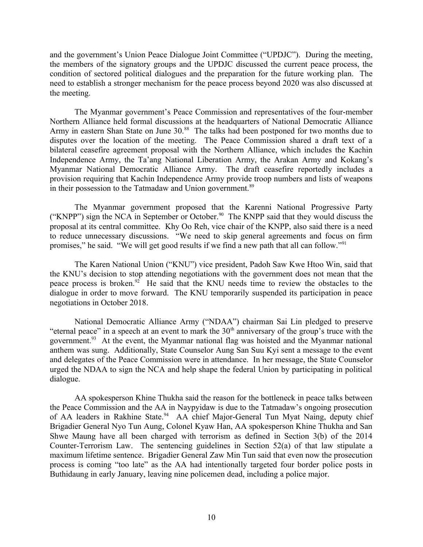and the government's Union Peace Dialogue Joint Committee ("UPDJC"). During the meeting, the members of the signatory groups and the UPDJC discussed the current peace process, the condition of sectored political dialogues and the preparation for the future working plan. The need to establish a stronger mechanism for the peace process beyond 2020 was also discussed at the meeting.

The Myanmar government's Peace Commission and representatives of the four-member Northern Alliance held formal discussions at the headquarters of National Democratic Alliance Army in eastern Shan State on June 30.88 The talks had been postponed for two months due to disputes over the location of the meeting. The Peace Commission shared a draft text of a bilateral ceasefire agreement proposal with the Northern Alliance, which includes the Kachin Independence Army, the Ta'ang National Liberation Army, the Arakan Army and Kokang's Myanmar National Democratic Alliance Army. The draft ceasefire reportedly includes a provision requiring that Kachin Independence Army provide troop numbers and lists of weapons in their possession to the Tatmadaw and Union government.<sup>89</sup>

The Myanmar government proposed that the Karenni National Progressive Party ("KNPP") sign the NCA in September or October.<sup>90</sup> The KNPP said that they would discuss the proposal at its central committee. Khy Oo Reh, vice chair of the KNPP, also said there is a need to reduce unnecessary discussions. "We need to skip general agreements and focus on firm promises," he said. "We will get good results if we find a new path that all can follow."<sup>91</sup>

The Karen National Union ("KNU") vice president, Padoh Saw Kwe Htoo Win, said that the KNU's decision to stop attending negotiations with the government does not mean that the peace process is broken.<sup>92</sup> He said that the KNU needs time to review the obstacles to the dialogue in order to move forward. The KNU temporarily suspended its participation in peace negotiations in October 2018.

National Democratic Alliance Army ("NDAA") chairman Sai Lin pledged to preserve "eternal peace" in a speech at an event to mark the  $30<sup>th</sup>$  anniversary of the group's truce with the government.<sup>93</sup> At the event, the Myanmar national flag was hoisted and the Myanmar national anthem was sung. Additionally, State Counselor Aung San Suu Kyi sent a message to the event and delegates of the Peace Commission were in attendance. In her message, the State Counselor urged the NDAA to sign the NCA and help shape the federal Union by participating in political dialogue.

AA spokesperson Khine Thukha said the reason for the bottleneck in peace talks between the Peace Commission and the AA in Naypyidaw is due to the Tatmadaw's ongoing prosecution of AA leaders in Rakhine State.<sup>94</sup> AA chief Major-General Tun Myat Naing, deputy chief Brigadier General Nyo Tun Aung, Colonel Kyaw Han, AA spokesperson Khine Thukha and San Shwe Maung have all been charged with terrorism as defined in Section 3(b) of the 2014 Counter-Terrorism Law. The sentencing guidelines in Section 52(a) of that law stipulate a maximum lifetime sentence. Brigadier General Zaw Min Tun said that even now the prosecution process is coming "too late" as the AA had intentionally targeted four border police posts in Buthidaung in early January, leaving nine policemen dead, including a police major.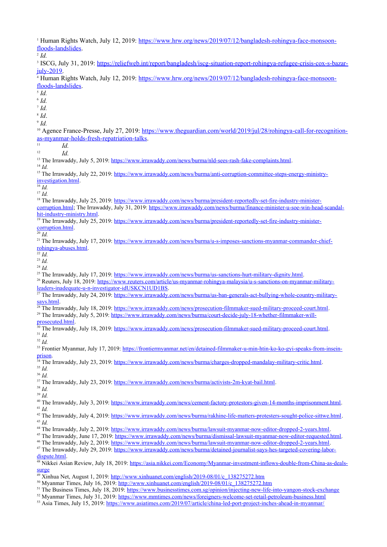<sup>1</sup> Human Rights Watch, July 12, 2019: [https://www.hrw.org/news/2019/07/12/bangladesh-rohingya-face-monsoon](https://www.hrw.org/news/2019/07/12/bangladesh-rohingya-face-monsoon-floods-landslides)[floods-landslides](https://www.hrw.org/news/2019/07/12/bangladesh-rohingya-face-monsoon-floods-landslides).

2 *Id.* <sup>3</sup> ISCG, July 31, 2019: [https://reliefweb.int/report/bangladesh/iscg-situation-report-rohingya-refugee-crisis-cox-s-bazar](https://reliefweb.int/report/bangladesh/iscg-situation-report-rohingya-refugee-crisis-cox-s-bazar-july-2019)[july-2019.](https://reliefweb.int/report/bangladesh/iscg-situation-report-rohingya-refugee-crisis-cox-s-bazar-july-2019) <sup>4</sup> Human Rights Watch, July 12, 2019: [https://www.hrw.org/news/2019/07/12/bangladesh-rohingya-face-monsoon](https://www.hrw.org/news/2019/07/12/bangladesh-rohingya-face-monsoon-floods-landslides)[floods-landslides](https://www.hrw.org/news/2019/07/12/bangladesh-rohingya-face-monsoon-floods-landslides). 5 *Id.* 6 *Id.* 7 *Id.*  8 *Id*. 9 *Id.* <sup>10</sup> Agence France-Presse, July 27, 2019: [https://www.theguardian.com/world/2019/jul/28/rohingya-call-for-recognition](https://www.theguardian.com/world/2019/jul/28/rohingya-call-for-recognition-as-myanmar-holds-fresh-repatriation-talks)[as-myanmar-holds-fresh-repatriation-talks](https://www.theguardian.com/world/2019/jul/28/rohingya-call-for-recognition-as-myanmar-holds-fresh-repatriation-talks).  $\frac{11}{12}$  *Id.* <sup>12</sup> *Id.* <sup>13</sup> The Irrawaddy, July 5, 2019: <https://www.irrawaddy.com/news/burma/nld-sees-rash-fake-complaints.html>. <sup>14</sup> *Id.* <sup>15</sup> The Irrawaddy, July 22, 2019: [https://www.irrawaddy.com/news/burma/anti-corruption-committee-steps-energy-ministry](https://www.irrawaddy.com/news/burma/anti-corruption-committee-steps-energy-ministry-investigation.html)[investigation.html](https://www.irrawaddy.com/news/burma/anti-corruption-committee-steps-energy-ministry-investigation.html). <sup>16</sup> *Id.* <sup>17</sup> *Id.* <sup>18</sup> The Irrawaddy, July 25, 2019: [https://www.irrawaddy.com/news/burma/president-reportedly-set-fire-industry-minister](https://www.irrawaddy.com/news/burma/president-reportedly-set-fire-industry-minister-corruption.html)[corruption.html](https://www.irrawaddy.com/news/burma/president-reportedly-set-fire-industry-minister-corruption.html); The Irrawaddy, July 31, 2019: [https://www.irrawaddy.com/news/burma/finance-minister-u-soe-win-head-scandal](https://www.irrawaddy.com/news/burma/finance-minister-u-soe-win-head-scandal-hit-industry-ministry.html)[hit-industry-ministry.html.](https://www.irrawaddy.com/news/burma/finance-minister-u-soe-win-head-scandal-hit-industry-ministry.html) <sup>19</sup> The Irrawaddy, July 25, 2019: [https://www.irrawaddy.com/news/burma/president-reportedly-set-fire-industry-minister](https://www.irrawaddy.com/news/burma/president-reportedly-set-fire-industry-minister-corruption.html)[corruption.html](https://www.irrawaddy.com/news/burma/president-reportedly-set-fire-industry-minister-corruption.html).  $20 \overline{Id}$ <sup>21</sup> The Irrawaddy, July 17, 2019: [https://www.irrawaddy.com/news/burma/u-s-imposes-sanctions-myanmar-commander-chief](https://www.irrawaddy.com/news/burma/u-s-imposes-sanctions-myanmar-commander-chief-rohingya-abuses.html)[rohingya-abuses.html.](https://www.irrawaddy.com/news/burma/u-s-imposes-sanctions-myanmar-commander-chief-rohingya-abuses.html)  $\overline{\frac{22}{22}}$ *Id.* <sup>23</sup> *Id.* <sup>24</sup> *Id.* <sup>25</sup> The Irrawaddy, July 17, 2019:<https://www.irrawaddy.com/news/burma/us-sanctions-hurt-military-dignity.html>. <sup>26</sup> Reuters. July 18, 2019: [https://www.reuters.com/article/us-myanmar-rohingya-malaysia/u-s-sanctions-on-myanmar-military](https://www.reuters.com/article/us-myanmar-rohingya-malaysia/u-s-sanctions-on-myanmar-military-leaders-inadequate-u-n-investigator-idUSKCN1UD1BS)[leaders-inadequate-u-n-investigator-idUSKCN1UD1BS](https://www.reuters.com/article/us-myanmar-rohingya-malaysia/u-s-sanctions-on-myanmar-military-leaders-inadequate-u-n-investigator-idUSKCN1UD1BS). <sup>27</sup> The Irrawaddy, July 24, 2019: https://www.irr<u>awaddy.com/news/burma/us-ban-generals-act-bullying-whole-country-military-</u> [says.html](https://www.irrawaddy.com/news/burma/us-ban-generals-act-bullying-whole-country-military-says.html). <sup>28</sup> The Irrawaddy, July 18, 2019:<https://www.irrawaddy.com/news/prosecution-filmmaker-sued-military-proceed-court.html>. <sup>29</sup> The Irrawaddy, July 5, 2019: [https://www.irrawaddy.com/news/burma/court-decide-july-18-whether-filmmaker-will](https://www.irrawaddy.com/news/burma/court-decide-july-18-whether-filmmaker-will-prosecuted.html)[prosecuted.html.](https://www.irrawaddy.com/news/burma/court-decide-july-18-whether-filmmaker-will-prosecuted.html) <sup>30</sup> The Irrawaddy, July 18, 2019:<https://www.irrawaddy.com/news/prosecution-filmmaker-sued-military-proceed-court.html>. <sup>31</sup> *Id.* <sup>32</sup> *Id.* <sup>33</sup> Frontier Myanmar, July 17, 2019: [https://frontiermyanmar.net/en/detained-filmmaker-u-min-htin-ko-ko-gyi-speaks-from-insein](https://frontiermyanmar.net/en/detained-filmmaker-u-min-htin-ko-ko-gyi-speaks-from-insein-prison)[prison](https://frontiermyanmar.net/en/detained-filmmaker-u-min-htin-ko-ko-gyi-speaks-from-insein-prison).  $\frac{34 \text{ The}}{34 \text{ The}}$  Irrawaddy, July 23, 2019:<https://www.irrawaddy.com/news/burma/charges-dropped-mandalay-military-critic.html>. <sup>35</sup> *Id.* <sup>36</sup> *Id.* <sup>37</sup> The Irrawaddy, July 23, 2019:<https://www.irrawaddy.com/news/burma/activists-2m-kyat-bail.html>. <sup>38</sup> *Id.* <sup>39</sup> *Id.* <sup>40</sup> The Irrawaddy, July 3, 2019: [https://www.irrawaddy.com/news/cement-factory-protestors-given-14-months-imprisonment.html.](https://www.irrawaddy.com/news/cement-factory-protestors-given-14-months-imprisonment.html) <sup>41</sup> *Id.*  <sup>42</sup> The Irrawaddy, July 4, 2019: [https://www.irrawaddy.com/news/burma/rakhine-life-matters-protesters-sought-police-sittwe.html.](https://www.irrawaddy.com/news/burma/rakhine-life-matters-protesters-sought-police-sittwe.html) <sup>43</sup> *Id.* <sup>44</sup> The Irrawaddy, July 2, 2019: <https://www.irrawaddy.com/news/burma/lawsuit-myanmar-now-editor-dropped-2-years.html>. <sup>45</sup> The Irrawaddy, June 17, 2019: <https://www.irrawaddy.com/news/burma/dismissal-lawsuit-myanmar-now-editor-requested.html>. <sup>46</sup> The Irrawaddy, July 2, 2019: <https://www.irrawaddy.com/news/burma/lawsuit-myanmar-now-editor-dropped-2-years.html>. <sup>47</sup> The Irrawaddy, July 29, 2019: [https://www.irrawaddy.com/news/burma/detained-journalist-says-hes-targeted-covering-labor](https://www.irrawaddy.com/news/burma/detained-journalist-says-hes-targeted-covering-labor-dispute.html)[dispute.html.](https://www.irrawaddy.com/news/burma/detained-journalist-says-hes-targeted-covering-labor-dispute.html) 48 Nikkei Asian Review, July 18, 2019: [https://asia.nikkei.com/Economy/Myanmar-investment-inflows-double-from-China-as-deals](https://asia.nikkei.com/Economy/Myanmar-investment-inflows-double-from-China-as-deals-surge)[surge](https://asia.nikkei.com/Economy/Myanmar-investment-inflows-double-from-China-as-deals-surge) <sup>49</sup> Xinhua Net, August 1, 2019: [http://www.xinhuanet.com/english/2019-08/01/c\\_138275272.htm](http://www.xinhuanet.com/english/2019-08/01/c_138275272.htm) <sup>50</sup> Myanmar Times, July 16, 2019: [http://www.xinhuanet.com/english/2019-08/01/c\\_138275272.htm](http://www.xinhuanet.com/english/2019-08/01/c_138275272.htm)

<sup>51</sup> The Business Times, July 18, 2019:<https://www.businesstimes.com.sg/opinion/injecting-new-life-into-yangon-stock-exchange>

52 Myanmar Times, July 31, 2019: <https://www.mmtimes.com/news/foreigners-welcome-set-retail-petroleum-business.html>

53 Asia Times, July 15, 2019:<https://www.asiatimes.com/2019/07/article/china-led-port-project-inches-ahead-in-myanmar/>